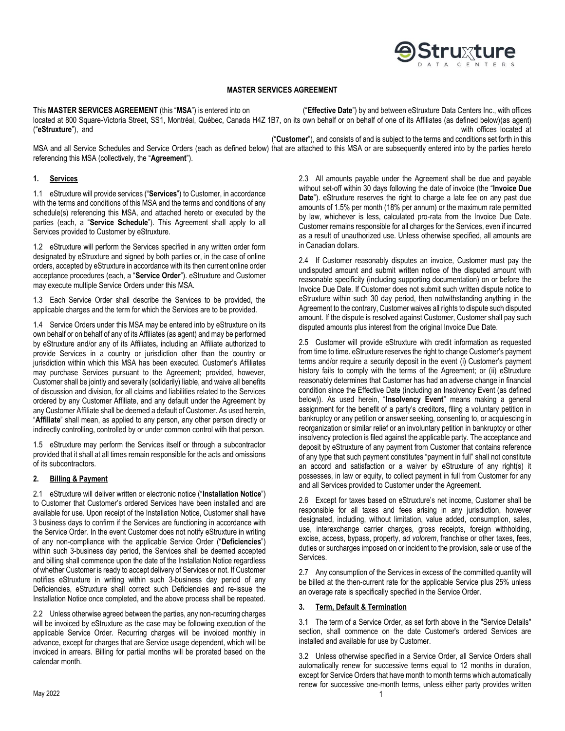

## **MASTER SERVICES AGREEMENT**

This **MASTER SERVICES AGREEMENT** (this "**MSA**") is entered into on ("**Effective Date**") by and between eStruxture Data Centers Inc., with offices located at 800 Square-Victoria Street, SS1, Montréal, Québec, Canada H4Z 1B7, on its own behalf or on behalf of one of its Affiliates (as defined below) (as agent) ("**eStruxture**"), and with offices located at

("**Customer**"), and consists of and is subject to the terms and conditions set forth in this

MSA and all Service Schedules and Service Orders (each as defined below) that are attached to this MSA or are subsequently entered into by the parties hereto referencing this MSA (collectively, the "**Agreement**").

## **1. Services**

1.1 eStruxture will provide services ("**Services**") to Customer, in accordance with the terms and conditions of this MSA and the terms and conditions of any schedule(s) referencing this MSA, and attached hereto or executed by the parties (each, a "**Service Schedule**"). This Agreement shall apply to all Services provided to Customer by eStruxture.

1.2 eStruxture will perform the Services specified in any written order form designated by eStruxture and signed by both parties or, in the case of online orders, accepted by eStruxture in accordance with its then current online order acceptance procedures (each, a "**Service Order**"). eStruxture and Customer may execute multiple Service Orders under this MSA.

1.3 Each Service Order shall describe the Services to be provided, the applicable charges and the term for which the Services are to be provided.

1.4 Service Orders under this MSA may be entered into by eStruxture on its own behalf or on behalf of any of its Affiliates (as agent) and may be performed by eStruxture and/or any of its Affiliates**,** including an Affiliate authorized to provide Services in a country or jurisdiction other than the country or jurisdiction within which this MSA has been executed. Customer's Affiliates may purchase Services pursuant to the Agreement; provided, however, Customer shall be jointly and severally (solidarily) liable, and waive all benefits of discussion and division, for all claims and liabilities related to the Services ordered by any Customer Affiliate, and any default under the Agreement by any Customer Affiliate shall be deemed a default of Customer. As used herein, "**Affiliate**" shall mean, as applied to any person, any other person directly or indirectly controlling, controlled by or under common control with that person.

1.5 eStruxture may perform the Services itself or through a subcontractor provided that it shall at all times remain responsible for the acts and omissions of its subcontractors.

#### **2. Billing & Payment**

2.1 eStruxture will deliver written or electronic notice ("**Installation Notice**") to Customer that Customer's ordered Services have been installed and are available for use. Upon receipt of the Installation Notice, Customer shall have 3 business days to confirm if the Services are functioning in accordance with the Service Order. In the event Customer does not notify eStruxture in writing of any non-compliance with the applicable Service Order ("**Deficiencies**") within such 3-business day period, the Services shall be deemed accepted and billing shall commence upon the date of the Installation Notice regardless of whether Customer is ready to accept delivery of Services or not. If Customer notifies eStruxture in writing within such 3-business day period of any Deficiencies, eStruxture shall correct such Deficiencies and re-issue the Installation Notice once completed, and the above process shall be repeated.

2.2 Unless otherwise agreed between the parties, any non-recurring charges will be invoiced by eStruxture as the case may be following execution of the applicable Service Order. Recurring charges will be invoiced monthly in advance, except for charges that are Service usage dependent, which will be invoiced in arrears. Billing for partial months will be prorated based on the calendar month.

2.3 All amounts payable under the Agreement shall be due and payable without set-off within 30 days following the date of invoice (the "**Invoice Due Date**"). eStruxture reserves the right to charge a late fee on any past due amounts of 1.5% per month (18% per annum) or the maximum rate permitted by law, whichever is less, calculated pro-rata from the Invoice Due Date. Customer remains responsible for all charges for the Services, even if incurred as a result of unauthorized use. Unless otherwise specified, all amounts are in Canadian dollars.

2.4 If Customer reasonably disputes an invoice, Customer must pay the undisputed amount and submit written notice of the disputed amount with reasonable specificity (including supporting documentation) on or before the Invoice Due Date. If Customer does not submit such written dispute notice to eStruxture within such 30 day period, then notwithstanding anything in the Agreement to the contrary, Customer waives all rights to dispute such disputed amount. If the dispute is resolved against Customer, Customer shall pay such disputed amounts plus interest from the original Invoice Due Date.

2.5 Customer will provide eStruxture with credit information as requested from time to time. eStruxture reserves the right to change Customer's payment terms and/or require a security deposit in the event (i) Customer's payment history fails to comply with the terms of the Agreement; or (ii) eStruxture reasonably determines that Customer has had an adverse change in financial condition since the Effective Date (including an Insolvency Event (as defined below)). As used herein, "**Insolvency Event**" means making a general assignment for the benefit of a party's creditors, filing a voluntary petition in bankruptcy or any petition or answer seeking, consenting to, or acquiescing in reorganization or similar relief or an involuntary petition in bankruptcy or other insolvency protection is filed against the applicable party. The acceptance and deposit by eStruxture of any payment from Customer that contains reference of any type that such payment constitutes "payment in full" shall not constitute an accord and satisfaction or a waiver by eStruxture of any right(s) it possesses, in law or equity, to collect payment in full from Customer for any and all Services provided to Customer under the Agreement.

2.6 Except for taxes based on eStruxture's net income, Customer shall be responsible for all taxes and fees arising in any jurisdiction, however designated, including, without limitation, value added, consumption, sales, use, interexchange carrier charges, gross receipts, foreign withholding, excise, access, bypass, property, *ad volorem*, franchise or other taxes, fees, duties or surcharges imposed on or incident to the provision, sale or use of the Services.

2.7 Any consumption of the Services in excess of the committed quantity will be billed at the then-current rate for the applicable Service plus 25% unless an overage rate is specifically specified in the Service Order.

# **3. Term, Default & Termination**

3.1 The term of a Service Order, as set forth above in the "Service Details" section, shall commence on the date Customer's ordered Services are installed and available for use by Customer.

3.2 Unless otherwise specified in a Service Order, all Service Orders shall automatically renew for successive terms equal to 12 months in duration, except for Service Orders that have month to month terms which automatically renew for successive one-month terms, unless either party provides written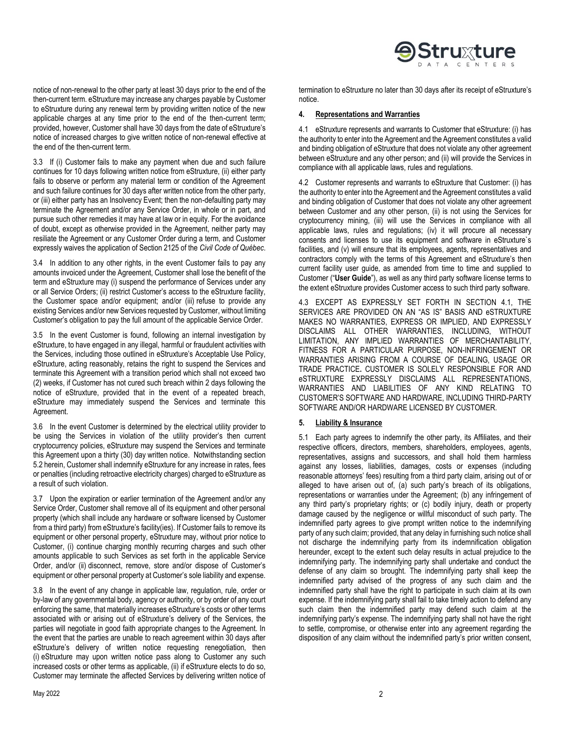

notice of non-renewal to the other party at least 30 days prior to the end of the then-current term. eStruxture may increase any charges payable by Customer to eStruxture during any renewal term by providing written notice of the new applicable charges at any time prior to the end of the then-current term; provided, however, Customer shall have 30 days from the date of eStruxture's notice of increased charges to give written notice of non-renewal effective at the end of the then-current term.

3.3 If (i) Customer fails to make any payment when due and such failure continues for 10 days following written notice from eStruxture, (ii) either party fails to observe or perform any material term or condition of the Agreement and such failure continues for 30 days after written notice from the other party, or (iii) either party has an Insolvency Event; then the non-defaulting party may terminate the Agreement and/or any Service Order, in whole or in part, and pursue such other remedies it may have at law or in equity. For the avoidance of doubt, except as otherwise provided in the Agreement, neither party may resiliate the Agreement or any Customer Order during a term, and Customer expressly waives the application of Section 2125 of the *Civil Code of Québec*.

3.4 In addition to any other rights, in the event Customer fails to pay any amounts invoiced under the Agreement, Customer shall lose the benefit of the term and eStruxture may (i) suspend the performance of Services under any or all Service Orders; (ii) restrict Customer's access to the eStruxture facility, the Customer space and/or equipment; and/or (iii) refuse to provide any existing Services and/or new Services requested by Customer, without limiting Customer's obligation to pay the full amount of the applicable Service Order.

3.5 In the event Customer is found, following an internal investigation by eStruxture, to have engaged in any illegal, harmful or fraudulent activities with the Services, including those outlined in eStruxture's Acceptable Use Policy, eStruxture, acting reasonably, retains the right to suspend the Services and terminate this Agreement with a transition period which shall not exceed two (2) weeks, if Customer has not cured such breach within 2 days following the notice of eStruxture, provided that in the event of a repeated breach, eStruxture may immediately suspend the Services and terminate this Agreement.

3.6 In the event Customer is determined by the electrical utility provider to be using the Services in violation of the utility provider's then current cryptocurrency policies, eStruxture may suspend the Services and terminate this Agreement upon a thirty (30) day written notice. Notwithstanding section 5.2 herein, Customer shall indemnify eStruxture for any increase in rates, fees or penalties (including retroactive electricity charges) charged to eStruxture as a result of such violation.

3.7 Upon the expiration or earlier termination of the Agreement and/or any Service Order, Customer shall remove all of its equipment and other personal property (which shall include any hardware or software licensed by Customer from a third party) from eStruxture's facility(ies). If Customer fails to remove its equipment or other personal property, eStruxture may, without prior notice to Customer, (i) continue charging monthly recurring charges and such other amounts applicable to such Services as set forth in the applicable Service Order, and/or (ii) disconnect, remove, store and/or dispose of Customer's equipment or other personal property at Customer's sole liability and expense.

3.8 In the event of any change in applicable law, regulation, rule, order or by-law of any governmental body, agency or authority, or by order of any court enforcing the same, that materially increases eStruxture's costs or other terms associated with or arising out of eStruxture's delivery of the Services, the parties will negotiate in good faith appropriate changes to the Agreement. In the event that the parties are unable to reach agreement within 30 days after eStruxture's delivery of written notice requesting renegotiation, then (i) eStruxture may upon written notice pass along to Customer any such increased costs or other terms as applicable, (ii) if eStruxture elects to do so, Customer may terminate the affected Services by delivering written notice of

# **4. Representations and Warranties**

4.1 eStruxture represents and warrants to Customer that eStruxture: (i) has the authority to enter into the Agreement and the Agreement constitutes a valid and binding obligation of eStruxture that does not violate any other agreement between eStruxture and any other person; and (ii) will provide the Services in compliance with all applicable laws, rules and regulations.

4.2 Customer represents and warrants to eStruxture that Customer: (i) has the authority to enter into the Agreement and the Agreement constitutes a valid and binding obligation of Customer that does not violate any other agreement between Customer and any other person, (ii) is not using the Services for cryptocurrency mining, (iii) will use the Services in compliance with all applicable laws, rules and regulations; (iv) it will procure all necessary consents and licenses to use its equipment and software in eStruxture`s facilities, and (v) will ensure that its employees, agents, representatives and contractors comply with the terms of this Agreement and eStruxture's then current facility user guide, as amended from time to time and supplied to Customer ("**User Guide**"), as well as any third party software license terms to the extent eStruxture provides Customer access to such third party software.

4.3 EXCEPT AS EXPRESSLY SET FORTH IN SECTION 4.1, THE SERVICES ARE PROVIDED ON AN "AS IS" BASIS AND eSTRUXTURE MAKES NO WARRANTIES, EXPRESS OR IMPLIED, AND EXPRESSLY DISCLAIMS ALL OTHER WARRANTIES, INCLUDING, WITHOUT LIMITATION, ANY IMPLIED WARRANTIES OF MERCHANTABILITY, FITNESS FOR A PARTICULAR PURPOSE, NON-INFRINGEMENT OR WARRANTIES ARISING FROM A COURSE OF DEALING, USAGE OR TRADE PRACTICE**.** CUSTOMER IS SOLELY RESPONSIBLE FOR AND eSTRUXTURE EXPRESSLY DISCLAIMS ALL REPRESENTATIONS, WARRANTIES AND LIABILITIES OF ANY KIND RELATING TO CUSTOMER'S SOFTWARE AND HARDWARE, INCLUDING THIRD-PARTY SOFTWARE AND/OR HARDWARE LICENSED BY CUSTOMER.

#### **5. Liability & Insurance**

5.1 Each party agrees to indemnify the other party, its Affiliates, and their respective officers, directors, members, shareholders, employees, agents, representatives, assigns and successors, and shall hold them harmless against any losses, liabilities, damages, costs or expenses (including reasonable attorneys' fees) resulting from a third party claim, arising out of or alleged to have arisen out of, (a) such party's breach of its obligations, representations or warranties under the Agreement; (b) any infringement of any third party's proprietary rights; or (c) bodily injury, death or property damage caused by the negligence or willful misconduct of such party. The indemnified party agrees to give prompt written notice to the indemnifying party of any such claim; provided, that any delay in furnishing such notice shall not discharge the indemnifying party from its indemnification obligation hereunder, except to the extent such delay results in actual prejudice to the indemnifying party. The indemnifying party shall undertake and conduct the defense of any claim so brought. The indemnifying party shall keep the indemnified party advised of the progress of any such claim and the indemnified party shall have the right to participate in such claim at its own expense. If the indemnifying party shall fail to take timely action to defend any such claim then the indemnified party may defend such claim at the indemnifying party's expense. The indemnifying party shall not have the right to settle, compromise, or otherwise enter into any agreement regarding the disposition of any claim without the indemnified party's prior written consent,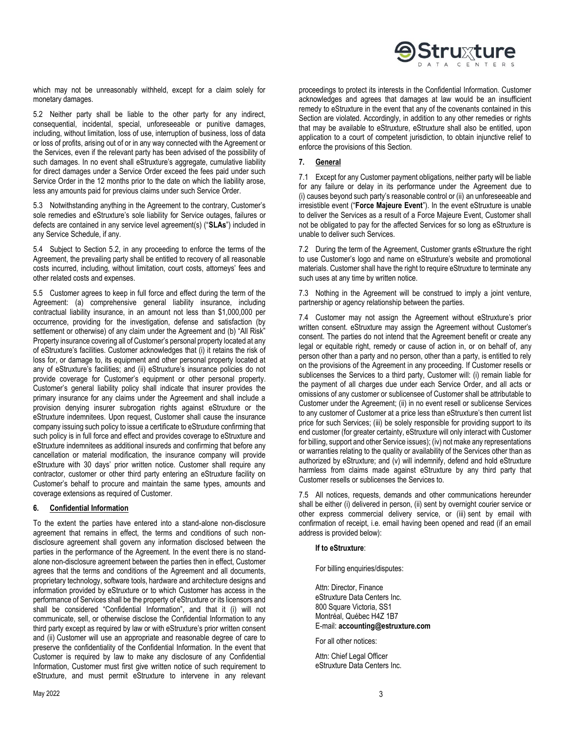**Struxture** 

which may not be unreasonably withheld, except for a claim solely for monetary damages.

5.2 Neither party shall be liable to the other party for any indirect, consequential, incidental, special, unforeseeable or punitive damages, including, without limitation, loss of use, interruption of business, loss of data or loss of profits, arising out of or in any way connected with the Agreement or the Services, even if the relevant party has been advised of the possibility of such damages. In no event shall eStruxture's aggregate, cumulative liability for direct damages under a Service Order exceed the fees paid under such Service Order in the 12 months prior to the date on which the liability arose, less any amounts paid for previous claims under such Service Order.

5.3 Notwithstanding anything in the Agreement to the contrary, Customer's sole remedies and eStruxture's sole liability for Service outages, failures or defects are contained in any service level agreement(s) ("**SLAs**") included in any Service Schedule, if any.

5.4 Subject to Section 5.2, in any proceeding to enforce the terms of the Agreement, the prevailing party shall be entitled to recovery of all reasonable costs incurred, including, without limitation, court costs, attorneys' fees and other related costs and expenses.

5.5 Customer agrees to keep in full force and effect during the term of the Agreement: (a) comprehensive general liability insurance, including contractual liability insurance, in an amount not less than \$1,000,000 per occurrence, providing for the investigation, defense and satisfaction (by settlement or otherwise) of any claim under the Agreement and (b) "All Risk" Property insurance covering all of Customer's personal property located at any of eStruxture's facilities. Customer acknowledges that (i) it retains the risk of loss for, or damage to, its equipment and other personal property located at any of eStruxture's facilities; and (ii) eStruxture's insurance policies do not provide coverage for Customer's equipment or other personal property. Customer's general liability policy shall indicate that insurer provides the primary insurance for any claims under the Agreement and shall include a provision denying insurer subrogation rights against eStruxture or the eStruxture indemnitees. Upon request, Customer shall cause the insurance company issuing such policy to issue a certificate to eStruxture confirming that such policy is in full force and effect and provides coverage to eStruxture and eStruxture indemnitees as additional insureds and confirming that before any cancellation or material modification, the insurance company will provide eStruxture with 30 days' prior written notice. Customer shall require any contractor, customer or other third party entering an eStruxture facility on Customer's behalf to procure and maintain the same types, amounts and coverage extensions as required of Customer.

# **6. Confidential Information**

To the extent the parties have entered into a stand-alone non-disclosure agreement that remains in effect, the terms and conditions of such nondisclosure agreement shall govern any information disclosed between the parties in the performance of the Agreement. In the event there is no standalone non-disclosure agreement between the parties then in effect, Customer agrees that the terms and conditions of the Agreement and all documents, proprietary technology, software tools, hardware and architecture designs and information provided by eStruxture or to which Customer has access in the performance of Services shall be the property of eStruxture or its licensors and shall be considered "Confidential Information", and that it (i) will not communicate, sell, or otherwise disclose the Confidential Information to any third party except as required by law or with eStruxture's prior written consent and (ii) Customer will use an appropriate and reasonable degree of care to preserve the confidentiality of the Confidential Information. In the event that Customer is required by law to make any disclosure of any Confidential Information, Customer must first give written notice of such requirement to eStruxture, and must permit eStruxture to intervene in any relevant

proceedings to protect its interests in the Confidential Information. Customer acknowledges and agrees that damages at law would be an insufficient remedy to eStruxture in the event that any of the covenants contained in this Section are violated. Accordingly, in addition to any other remedies or rights that may be available to eStruxture, eStruxture shall also be entitled, upon application to a court of competent jurisdiction, to obtain injunctive relief to enforce the provisions of this Section.

## **7. General**

7.1 Except for any Customer payment obligations, neither party will be liable for any failure or delay in its performance under the Agreement due to (i) causes beyond such party's reasonable control or (ii) an unforeseeable and irresistible event ("**Force Majeure Event**"). In the event eStruxture is unable to deliver the Services as a result of a Force Majeure Event, Customer shall not be obligated to pay for the affected Services for so long as eStruxture is unable to deliver such Services.

7.2 During the term of the Agreement, Customer grants eStruxture the right to use Customer's logo and name on eStruxture's website and promotional materials. Customer shall have the right to require eStruxture to terminate any such uses at any time by written notice.

7.3 Nothing in the Agreement will be construed to imply a joint venture, partnership or agency relationship between the parties.

7.4 Customer may not assign the Agreement without eStruxture's prior written consent. eStruxture may assign the Agreement without Customer's consent. The parties do not intend that the Agreement benefit or create any legal or equitable right, remedy or cause of action in, or on behalf of, any person other than a party and no person, other than a party, is entitled to rely on the provisions of the Agreement in any proceeding. If Customer resells or sublicenses the Services to a third party, Customer will: (i) remain liable for the payment of all charges due under each Service Order, and all acts or omissions of any customer or sublicensee of Customer shall be attributable to Customer under the Agreement; (ii) in no event resell or sublicense Services to any customer of Customer at a price less than eStruxture's then current list price for such Services; (iii) be solely responsible for providing support to its end customer (for greater certainty, eStruxture will only interact with Customer for billing, support and other Service issues); (iv) not make any representations or warranties relating to the quality or availability of the Services other than as authorized by eStruxture; and (v) will indemnify, defend and hold eStruxture harmless from claims made against eStruxture by any third party that Customer resells or sublicenses the Services to.

7.5 All notices, requests, demands and other communications hereunder shall be either (i) delivered in person, (ii) sent by overnight courier service or other express commercial delivery service, or (iii) sent by email with confirmation of receipt, i.e. email having been opened and read (if an email address is provided below):

## **If to eStruxture**:

For billing enquiries/disputes:

Attn: Director, Finance eStruxture Data Centers Inc. 800 Square Victoria, SS1 Montréal, Québec H4Z 1B7 E-mail: **accounting@estruxture.com**

For all other notices:

Attn: Chief Legal Officer eStruxture Data Centers Inc.